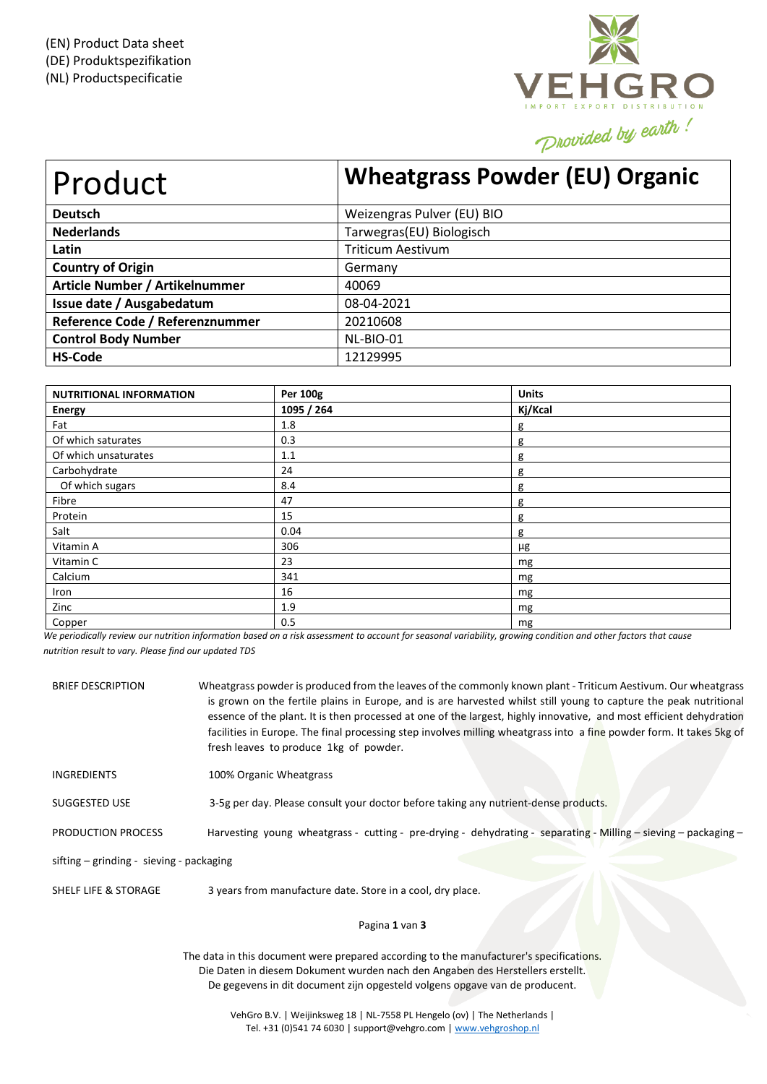

| Product                         | <b>Wheatgrass Powder (EU) Organic</b> |
|---------------------------------|---------------------------------------|
| <b>Deutsch</b>                  | Weizengras Pulver (EU) BIO            |
| <b>Nederlands</b>               | Tarwegras(EU) Biologisch              |
| Latin                           | <b>Triticum Aestivum</b>              |
| <b>Country of Origin</b>        | Germany                               |
| Article Number / Artikelnummer  | 40069                                 |
| Issue date / Ausgabedatum       | 08-04-2021                            |
| Reference Code / Referenznummer | 20210608                              |
| <b>Control Body Number</b>      | NL-BIO-01                             |
| <b>HS-Code</b>                  | 12129995                              |

| <b>NUTRITIONAL INFORMATION</b> | Per 100g   | <b>Units</b> |
|--------------------------------|------------|--------------|
| <b>Energy</b>                  | 1095 / 264 | Kj/Kcal      |
| Fat                            | 1.8        | g            |
| Of which saturates             | 0.3        | g            |
| Of which unsaturates           | 1.1        | g            |
| Carbohydrate                   | 24         | g            |
| Of which sugars                | 8.4        | g            |
| Fibre                          | 47         | g            |
| Protein                        | 15         | g            |
| Salt                           | 0.04       | g            |
| Vitamin A                      | 306        | μg           |
| Vitamin C                      | 23         | mg           |
| Calcium                        | 341        | mg           |
| Iron                           | 16         | mg           |
| Zinc                           | 1.9        | mg           |
| Copper                         | 0.5        | mg           |

We periodically review our nutrition information based on a risk assessment to account for seasonal variability, growing condition and other factors that cause *nutrition result to vary. Please find our updated TDS*

| <b>BRIEF DESCRIPTION</b>                   | Wheatgrass powder is produced from the leaves of the commonly known plant - Triticum Aestivum. Our wheatgrass<br>is grown on the fertile plains in Europe, and is are harvested whilst still young to capture the peak nutritional<br>essence of the plant. It is then processed at one of the largest, highly innovative, and most efficient dehydration<br>facilities in Europe. The final processing step involves milling wheatgrass into a fine powder form. It takes 5kg of<br>fresh leaves to produce 1kg of powder. |
|--------------------------------------------|-----------------------------------------------------------------------------------------------------------------------------------------------------------------------------------------------------------------------------------------------------------------------------------------------------------------------------------------------------------------------------------------------------------------------------------------------------------------------------------------------------------------------------|
| <b>INGREDIENTS</b>                         | 100% Organic Wheatgrass                                                                                                                                                                                                                                                                                                                                                                                                                                                                                                     |
| SUGGESTED USE                              | 3-5g per day. Please consult your doctor before taking any nutrient-dense products.                                                                                                                                                                                                                                                                                                                                                                                                                                         |
| <b>PRODUCTION PROCESS</b>                  | Harvesting young wheatgrass - cutting - pre-drying - dehydrating - separating - Milling - sieving - packaging -                                                                                                                                                                                                                                                                                                                                                                                                             |
| sifting $-$ grinding - sieving - packaging |                                                                                                                                                                                                                                                                                                                                                                                                                                                                                                                             |
| <b>SHELF LIFE &amp; STORAGE</b>            | 3 years from manufacture date. Store in a cool, dry place.                                                                                                                                                                                                                                                                                                                                                                                                                                                                  |

# Pagina **1** van **3**

The data in this document were prepared according to the manufacturer's specifications. Die Daten in diesem Dokument wurden nach den Angaben des Herstellers erstellt. De gegevens in dit document zijn opgesteld volgens opgave van de producent.

> VehGro B.V. | Weijinksweg 18 | NL-7558 PL Hengelo (ov) | The Netherlands | Tel. +31 (0)541 74 6030 | support@vehgro.com [| www.vehgroshop.nl](http://www.vehgroshop.nl/)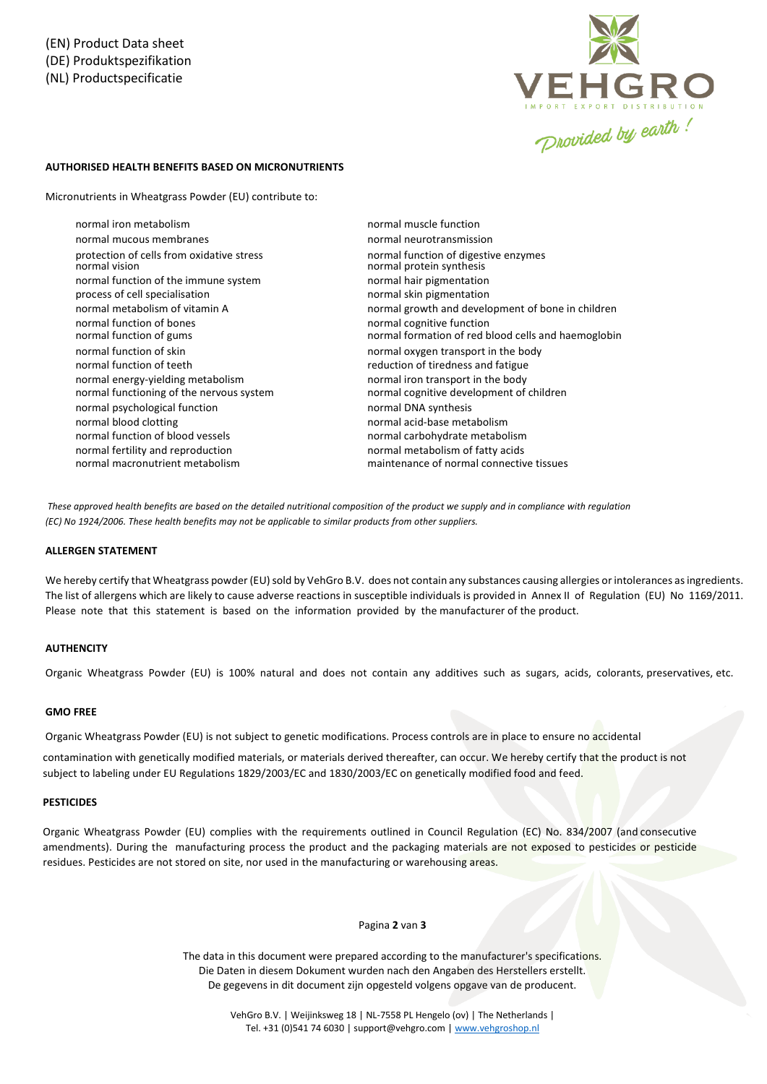

# **AUTHORISED HEALTH BENEFITS BASED ON MICRONUTRIENTS**

Micronutrients in Wheatgrass Powder (EU) contribute to:

normal iron metabolism normal mucous membranes protection of cells from oxidative stress normal function of the immune system normal hair pigmentation process of cell specialisation normal skin pigmentation normal function of bones normal function of gums normal function of skin normal oxygen transport in the body normal function of teeth reduction of tiredness and fatigue normal energy-yielding metabolism normal functioning of the nervous system normal psychological function normal DNA synthesis normal blood clotting normal acid-base metabolism normal function of blood vessels normal carbohydrate metabolism normal fertility and reproduction normal macronutrient metabolism

normal muscle function normal neurotransmission normal function of digestive enzymes normal protein synthesis normal metabolism of vitamin A normal growth and development of bone in children normal cognitive function normal formation of red blood cells and haemoglobin normal iron transport in the body normal cognitive development of children normal metabolism of fatty acids maintenance of normal connective tissues

These approved health benefits are based on the detailed nutritional composition of the product we supply and in compliance with requlation *(EC) No 1924/2006. These health benefits may not be applicable to similar products from other suppliers.*

#### **ALLERGEN STATEMENT**

We hereby certify that Wheatgrass powder (EU) sold by VehGro B.V. does not contain any substances causing allergies or intolerances as ingredients. The list of allergens which are likely to cause adverse reactions in susceptible individuals is provided in Annex II of Regulation (EU) No 1169/2011. Please note that this statement is based on the information provided by the manufacturer of the product.

## **AUTHENCITY**

Organic Wheatgrass Powder (EU) is 100% natural and does not contain any additives such as sugars, acids, colorants, preservatives, etc.

### **GMO FREE**

Organic Wheatgrass Powder (EU) is not subject to genetic modifications. Process controls are in place to ensure no accidental

contamination with genetically modified materials, or materials derived thereafter, can occur. We hereby certify that the product is not subject to labeling under EU Regulations 1829/2003/EC and 1830/2003/EC on genetically modified food and feed.

### **PESTICIDES**

Organic Wheatgrass Powder (EU) complies with the requirements outlined in Council Regulation (EC) No. 834/2007 (and consecutive amendments). During the manufacturing process the product and the packaging materials are not exposed to pesticides or pesticide residues. Pesticides are not stored on site, nor used in the manufacturing or warehousing areas.

#### Pagina **2** van **3**

The data in this document were prepared according to the manufacturer's specifications. Die Daten in diesem Dokument wurden nach den Angaben des Herstellers erstellt. De gegevens in dit document zijn opgesteld volgens opgave van de producent.

> VehGro B.V. | Weijinksweg 18 | NL-7558 PL Hengelo (ov) | The Netherlands | Tel. +31 (0)541 74 6030 | support@vehgro.com [| www.vehgroshop.nl](http://www.vehgroshop.nl/)